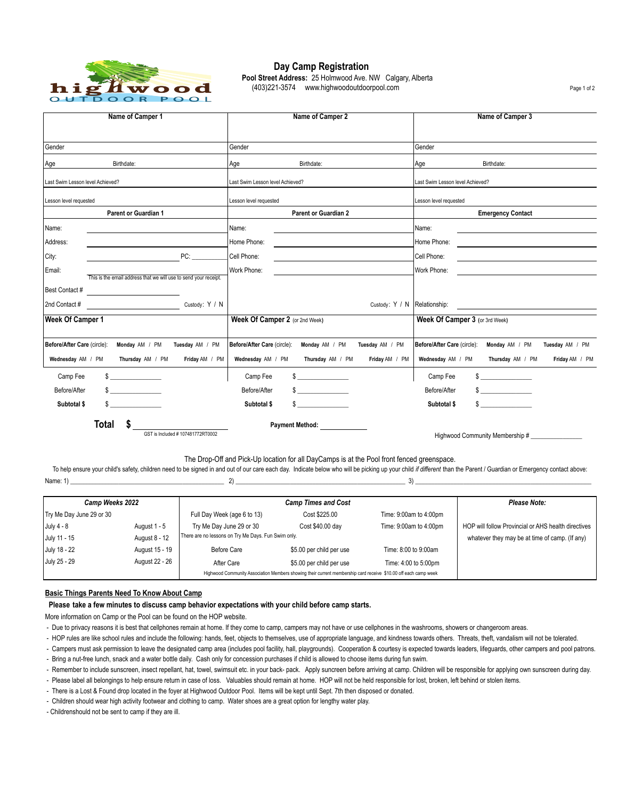

 **Day Camp Registration Pool Street Address:** 25 Holmwood Ave. NW Calgary, Alberta<br>
(403)221-3574 www.highwoodoutdoorpool.com (403)221-3574 www.highwoodoutdoorpool.com

| Name of Camper 1                                                                   | Name of Camper 2                                                   | Name of Camper 3                                                 |  |  |  |
|------------------------------------------------------------------------------------|--------------------------------------------------------------------|------------------------------------------------------------------|--|--|--|
|                                                                                    |                                                                    |                                                                  |  |  |  |
| Gender                                                                             | Gender                                                             | Gender                                                           |  |  |  |
| Birthdate:<br>Age                                                                  | Age<br>Birthdate:                                                  | Age<br>Birthdate:                                                |  |  |  |
| Last Swim Lesson level Achieved?                                                   | Last Swim Lesson level Achieved?                                   | Last Swim Lesson level Achieved?                                 |  |  |  |
| Lesson level requested                                                             | Lesson level requested                                             | Lesson level requested                                           |  |  |  |
| <b>Parent or Guardian 1</b>                                                        | <b>Parent or Guardian 2</b>                                        | <b>Emergency Contact</b>                                         |  |  |  |
| Name:                                                                              | Name:                                                              | Name:                                                            |  |  |  |
| Address:                                                                           | Home Phone:                                                        | Home Phone:                                                      |  |  |  |
| City:<br>PC:                                                                       | Cell Phone:<br><u> 1980 - Jan Barbara Barat III, marka bashkan</u> | Cell Phone:                                                      |  |  |  |
| Email:                                                                             | Work Phone:                                                        | Work Phone:                                                      |  |  |  |
| This is the email address that we will use to send your receipt.<br>Best Contact # |                                                                    |                                                                  |  |  |  |
| Custody: Y / N<br>2nd Contact #                                                    | Custody: Y / N   Relationship:                                     |                                                                  |  |  |  |
| Week Of Camper 1                                                                   | Week Of Camper 2 (or 2nd Week)                                     | Week Of Camper 3 (or 3rd Week)                                   |  |  |  |
| Before/After Care (circle):<br>Monday AM / PM<br>Tuesday AM / PM                   | Before/After Care (circle):<br>Monday AM / PM<br>Tuesday AM / PM   | Before/After Care (circle):<br>Monday AM / PM<br>Tuesday AM / PM |  |  |  |
| Wednesday AM / PM<br>Thursday AM / PM<br>Friday AM / PM                            | Wednesday AM / PM<br>Thursday AM / PM<br>Friday AM / PM            | Friday AM / PM<br>Wednesday AM / PM<br>Thursday AM / PM          |  |  |  |
| Camp Fee                                                                           | $\sim$<br>Camp Fee                                                 | Camp Fee<br>$\mathbb{S}$                                         |  |  |  |
| $\sim$<br>Before/After                                                             | $\frac{1}{2}$<br>Before/After                                      | $\frac{1}{2}$<br>Before/After                                    |  |  |  |
| Subtotal \$<br>\$                                                                  | $\mathbb{S}$<br>Subtotal \$                                        | $\mathbb{S}$<br>Subtotal \$                                      |  |  |  |
| Total                                                                              | <b>Payment Method:</b>                                             |                                                                  |  |  |  |
| GST is Included #107481772RT0002                                                   |                                                                    | Highwood Community Membership #                                  |  |  |  |

The Drop-Off and Pick-Up location for all DayCamps is at the Pool front fenced greenspace.

Name: 1) \_\_\_\_\_\_\_\_\_\_\_\_\_\_\_\_\_\_\_\_\_\_\_\_\_\_\_\_\_\_\_\_\_\_\_\_\_\_\_\_\_\_\_\_\_\_\_\_ 2) \_\_\_\_\_\_\_\_\_\_\_\_\_\_\_\_\_\_\_\_\_\_\_\_\_\_\_\_\_\_\_\_\_\_\_\_\_\_\_\_\_\_\_\_\_\_\_\_\_\_\_\_\_ 3) \_\_\_\_\_\_\_\_\_\_\_\_\_\_\_\_\_\_\_\_\_\_\_\_\_\_\_\_\_\_\_\_\_\_\_\_\_\_\_\_\_\_\_\_\_\_\_\_\_\_\_\_\_\_\_ To help ensure your child's safety, children need to be signed in and out of our care each day. Indicate below who will be picking up your child *if different* than the Parent / Guardian or Emergency contact above:

| <b>Camp Weeks 2022</b>   |                                                                                                                 | <b>Camp Times and Cost</b>                          |                          |                        | Please Note:                                        |
|--------------------------|-----------------------------------------------------------------------------------------------------------------|-----------------------------------------------------|--------------------------|------------------------|-----------------------------------------------------|
| Try Me Day June 29 or 30 |                                                                                                                 | Full Day Week (age 6 to 13)                         | Cost \$225.00            | Time: 9:00am to 4:00pm |                                                     |
| July 4 - 8               | August 1 - 5                                                                                                    | Try Me Day June 29 or 30                            | Cost \$40.00 day         | Time: 9:00am to 4:00pm | HOP will follow Provincial or AHS health directives |
| July 11 - 15             | August 8 - 12                                                                                                   | There are no lessons on Try Me Days. Fun Swim only. |                          |                        | whatever they may be at time of camp. (If any)      |
| July 18 - 22             | August 15 - 19                                                                                                  | Before Care                                         | \$5.00 per child per use | Time: 8:00 to 9:00am   |                                                     |
| July 25 - 29             | August 22 - 26                                                                                                  | After Care                                          | \$5.00 per child per use | Time: 4:00 to 5:00pm   |                                                     |
|                          | Highwood Community Association Members showing their current membership card receive \$10.00 off each camp week |                                                     |                          |                        |                                                     |

# **Basic Things Parents Need To Know About Camp**

# **Please take a few minutes to discuss camp behavior expectations with your child before camp starts.**

More information on Camp or the Pool can be found on the HOP website.

- Due to privacy reasons it is best that cellphones remain at home. If they come to camp, campers may not have or use cellphones in the washrooms, showers or changeroom areas.
- HOP rules are like school rules and include the following: hands, feet, objects to themselves, use of appropriate language, and kindness towards others. Threats, theft, vandalism will not be tolerated.
- Bring a nut-free lunch, snack and a water bottle daily. Cash only for concession purchases if child is allowed to choose items during fun swim. - Campers must ask permission to leave the designated camp area (includes pool facility, hall, playgrounds). Cooperation & courtesy is expected towards leaders, lifeguards, other campers and pool patrons.
- Remember to include sunscreen, insect repellant, hat, towel, swimsuit etc. in your back- pack. Apply suncreen before arriving at camp. Children will be responsible for applying own sunscreen during day.
- Please label all belongings to help ensure return in case of loss. Valuables should remain at home. HOP will not be held responsible for lost, broken, left behind or stolen items.
- There is a Lost & Found drop located in the foyer at Highwood Outdoor Pool. Items will be kept until Sept. 7th then disposed or donated.

- Children should wear high activity footwear and clothing to camp. Water shoes are a great option for lengthy water play.

- Childrenshould not be sent to camp if they are ill.

Page 1 of 2